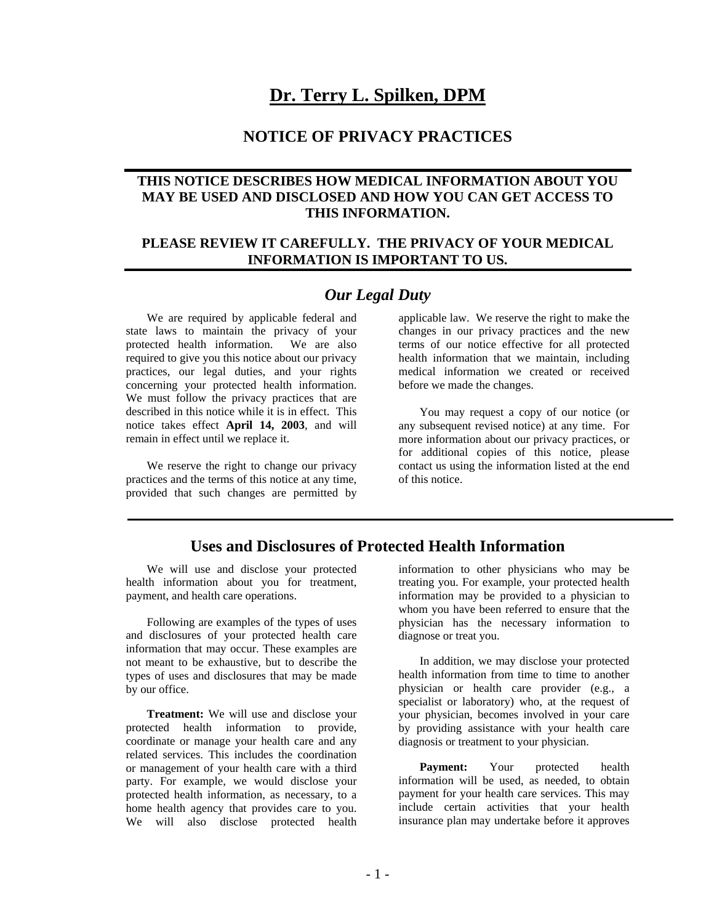### **Dr. Terry L. Spilken, DPM**

#### **NOTICE OF PRIVACY PRACTICES**

#### **THIS NOTICE DESCRIBES HOW MEDICAL INFORMATION ABOUT YOU MAY BE USED AND DISCLOSED AND HOW YOU CAN GET ACCESS TO THIS INFORMATION.**

#### **PLEASE REVIEW IT CAREFULLY. THE PRIVACY OF YOUR MEDICAL INFORMATION IS IMPORTANT TO US.**

### *Our Legal Duty*

We are required by applicable federal and state laws to maintain the privacy of your protected health information. We are also required to give you this notice about our privacy practices, our legal duties, and your rights concerning your protected health information. We must follow the privacy practices that are described in this notice while it is in effect. This notice takes effect **April 14, 2003**, and will remain in effect until we replace it.

We reserve the right to change our privacy practices and the terms of this notice at any time, provided that such changes are permitted by

applicable law. We reserve the right to make the changes in our privacy practices and the new terms of our notice effective for all protected health information that we maintain, including medical information we created or received before we made the changes.

You may request a copy of our notice (or any subsequent revised notice) at any time. For more information about our privacy practices, or for additional copies of this notice, please contact us using the information listed at the end of this notice.

#### **Uses and Disclosures of Protected Health Information**

We will use and disclose your protected health information about you for treatment, payment, and health care operations.

Following are examples of the types of uses and disclosures of your protected health care information that may occur. These examples are not meant to be exhaustive, but to describe the types of uses and disclosures that may be made by our office.

**Treatment:** We will use and disclose your protected health information to provide, coordinate or manage your health care and any related services. This includes the coordination or management of your health care with a third party. For example, we would disclose your protected health information, as necessary, to a home health agency that provides care to you. We will also disclose protected health

information to other physicians who may be treating you. For example, your protected health information may be provided to a physician to whom you have been referred to ensure that the physician has the necessary information to diagnose or treat you.

In addition, we may disclose your protected health information from time to time to another physician or health care provider (e.g., a specialist or laboratory) who, at the request of your physician, becomes involved in your care by providing assistance with your health care diagnosis or treatment to your physician.

**Payment:** Your protected health information will be used, as needed, to obtain payment for your health care services. This may include certain activities that your health insurance plan may undertake before it approves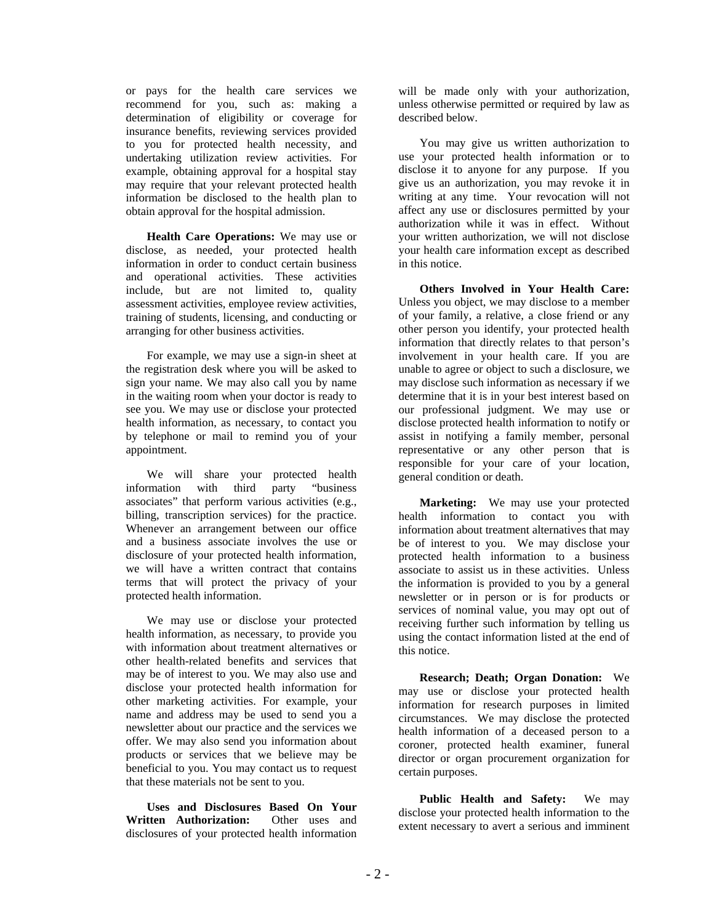or pays for the health care services we recommend for you, such as: making a determination of eligibility or coverage for insurance benefits, reviewing services provided to you for protected health necessity, and undertaking utilization review activities. For example, obtaining approval for a hospital stay may require that your relevant protected health information be disclosed to the health plan to obtain approval for the hospital admission.

**Health Care Operations:** We may use or disclose, as needed, your protected health information in order to conduct certain business and operational activities. These activities include, but are not limited to, quality assessment activities, employee review activities, training of students, licensing, and conducting or arranging for other business activities.

For example, we may use a sign-in sheet at the registration desk where you will be asked to sign your name. We may also call you by name in the waiting room when your doctor is ready to see you. We may use or disclose your protected health information, as necessary, to contact you by telephone or mail to remind you of your appointment.

We will share your protected health information with third party "business associates" that perform various activities (e.g., billing, transcription services) for the practice. Whenever an arrangement between our office and a business associate involves the use or disclosure of your protected health information, we will have a written contract that contains terms that will protect the privacy of your protected health information.

We may use or disclose your protected health information, as necessary, to provide you with information about treatment alternatives or other health-related benefits and services that may be of interest to you. We may also use and disclose your protected health information for other marketing activities. For example, your name and address may be used to send you a newsletter about our practice and the services we offer. We may also send you information about products or services that we believe may be beneficial to you. You may contact us to request that these materials not be sent to you.

**Uses and Disclosures Based On Your Written Authorization:** Other uses and disclosures of your protected health information

will be made only with your authorization, unless otherwise permitted or required by law as described below.

You may give us written authorization to use your protected health information or to disclose it to anyone for any purpose. If you give us an authorization, you may revoke it in writing at any time. Your revocation will not affect any use or disclosures permitted by your authorization while it was in effect. Without your written authorization, we will not disclose your health care information except as described in this notice.

**Others Involved in Your Health Care:** Unless you object, we may disclose to a member of your family, a relative, a close friend or any other person you identify, your protected health information that directly relates to that person's involvement in your health care. If you are unable to agree or object to such a disclosure, we may disclose such information as necessary if we determine that it is in your best interest based on our professional judgment. We may use or disclose protected health information to notify or assist in notifying a family member, personal representative or any other person that is responsible for your care of your location, general condition or death.

**Marketing:** We may use your protected health information to contact you with information about treatment alternatives that may be of interest to you. We may disclose your protected health information to a business associate to assist us in these activities. Unless the information is provided to you by a general newsletter or in person or is for products or services of nominal value, you may opt out of receiving further such information by telling us using the contact information listed at the end of this notice.

**Research; Death; Organ Donation:** We may use or disclose your protected health information for research purposes in limited circumstances. We may disclose the protected health information of a deceased person to a coroner, protected health examiner, funeral director or organ procurement organization for certain purposes.

**Public Health and Safety:** We may disclose your protected health information to the extent necessary to avert a serious and imminent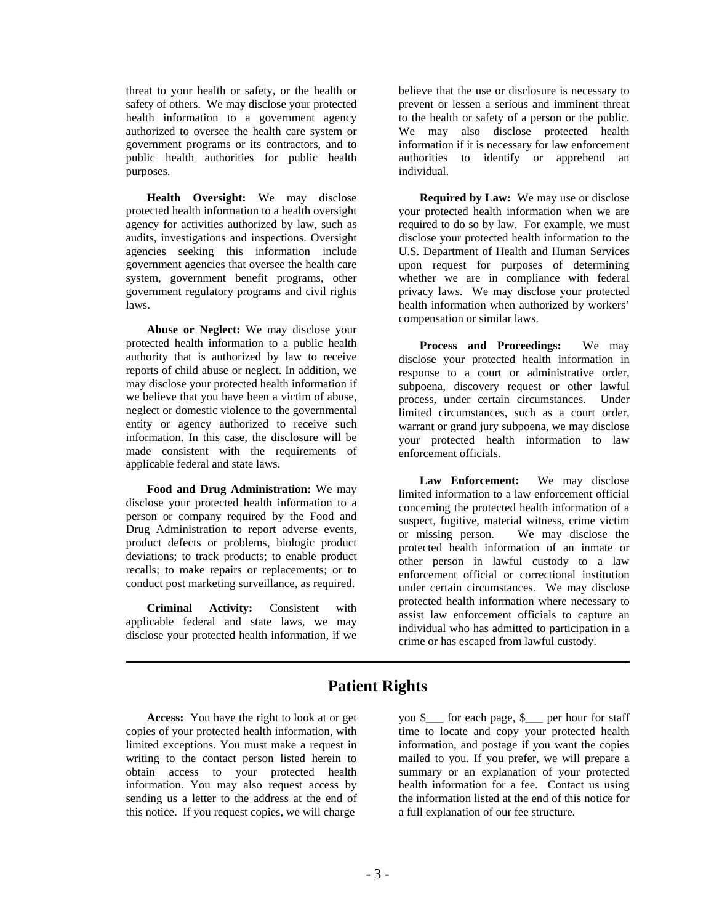threat to your health or safety, or the health or safety of others. We may disclose your protected health information to a government agency authorized to oversee the health care system or government programs or its contractors, and to public health authorities for public health purposes.

**Health Oversight:** We may disclose protected health information to a health oversight agency for activities authorized by law, such as audits, investigations and inspections. Oversight agencies seeking this information include government agencies that oversee the health care system, government benefit programs, other government regulatory programs and civil rights laws.

**Abuse or Neglect:** We may disclose your protected health information to a public health authority that is authorized by law to receive reports of child abuse or neglect. In addition, we may disclose your protected health information if we believe that you have been a victim of abuse, neglect or domestic violence to the governmental entity or agency authorized to receive such information. In this case, the disclosure will be made consistent with the requirements of applicable federal and state laws.

**Food and Drug Administration:** We may disclose your protected health information to a person or company required by the Food and Drug Administration to report adverse events, product defects or problems, biologic product deviations; to track products; to enable product recalls; to make repairs or replacements; or to conduct post marketing surveillance, as required.

**Criminal Activity:** Consistent with applicable federal and state laws, we may disclose your protected health information, if we believe that the use or disclosure is necessary to prevent or lessen a serious and imminent threat to the health or safety of a person or the public. We may also disclose protected health information if it is necessary for law enforcement authorities to identify or apprehend an individual.

**Required by Law:** We may use or disclose your protected health information when we are required to do so by law. For example, we must disclose your protected health information to the U.S. Department of Health and Human Services upon request for purposes of determining whether we are in compliance with federal privacy laws. We may disclose your protected health information when authorized by workers' compensation or similar laws.

**Process and Proceedings:** We may disclose your protected health information in response to a court or administrative order, subpoena, discovery request or other lawful process, under certain circumstances. Under limited circumstances, such as a court order, warrant or grand jury subpoena, we may disclose your protected health information to law enforcement officials.

**Law Enforcement:** We may disclose limited information to a law enforcement official concerning the protected health information of a suspect, fugitive, material witness, crime victim or missing person. We may disclose the protected health information of an inmate or other person in lawful custody to a law enforcement official or correctional institution under certain circumstances. We may disclose protected health information where necessary to assist law enforcement officials to capture an individual who has admitted to participation in a crime or has escaped from lawful custody.

## **Patient Rights**

 **Access:** You have the right to look at or get copies of your protected health information, with limited exceptions. You must make a request in writing to the contact person listed herein to obtain access to your protected health information. You may also request access by sending us a letter to the address at the end of this notice. If you request copies, we will charge

you \$\_\_\_ for each page, \$\_\_\_ per hour for staff time to locate and copy your protected health information, and postage if you want the copies mailed to you. If you prefer, we will prepare a summary or an explanation of your protected health information for a fee. Contact us using the information listed at the end of this notice for a full explanation of our fee structure.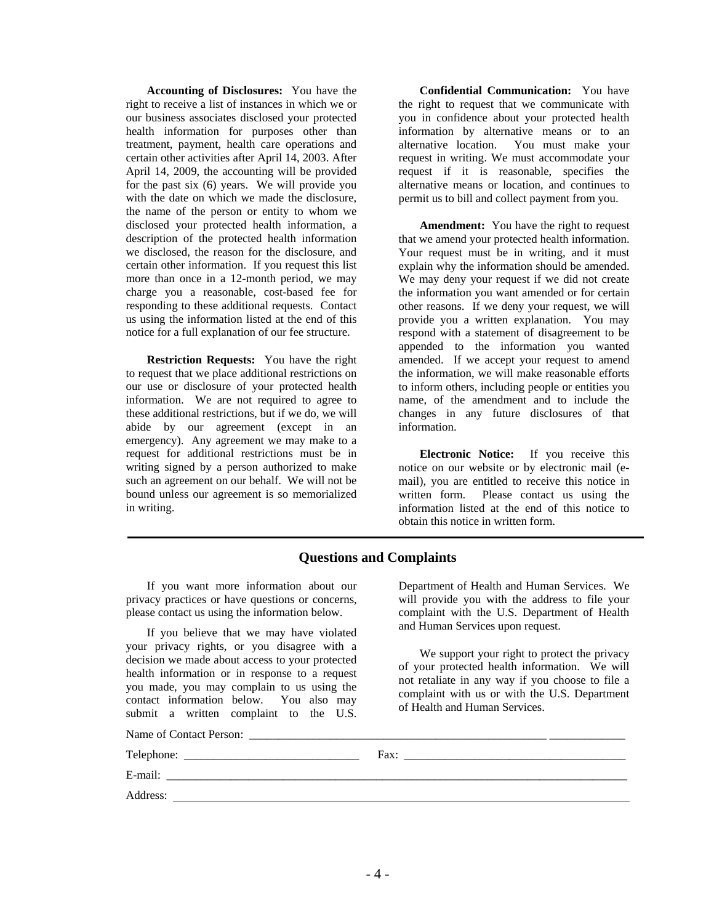**Accounting of Disclosures:** You have the right to receive a list of instances in which we or our business associates disclosed your protected health information for purposes other than treatment, payment, health care operations and certain other activities after April 14, 2003. After April 14, 2009, the accounting will be provided for the past six (6) years. We will provide you with the date on which we made the disclosure, the name of the person or entity to whom we disclosed your protected health information, a description of the protected health information we disclosed, the reason for the disclosure, and certain other information. If you request this list more than once in a 12-month period, we may charge you a reasonable, cost-based fee for responding to these additional requests. Contact us using the information listed at the end of this notice for a full explanation of our fee structure.

**Restriction Requests:** You have the right to request that we place additional restrictions on our use or disclosure of your protected health information. We are not required to agree to these additional restrictions, but if we do, we will abide by our agreement (except in an emergency). Any agreement we may make to a request for additional restrictions must be in writing signed by a person authorized to make such an agreement on our behalf. We will not be bound unless our agreement is so memorialized in writing.

**Confidential Communication:** You have the right to request that we communicate with you in confidence about your protected health information by alternative means or to an alternative location. You must make your request in writing. We must accommodate your request if it is reasonable, specifies the alternative means or location, and continues to permit us to bill and collect payment from you.

**Amendment:** You have the right to request that we amend your protected health information. Your request must be in writing, and it must explain why the information should be amended. We may deny your request if we did not create the information you want amended or for certain other reasons. If we deny your request, we will provide you a written explanation. You may respond with a statement of disagreement to be appended to the information you wanted amended. If we accept your request to amend the information, we will make reasonable efforts to inform others, including people or entities you name, of the amendment and to include the changes in any future disclosures of that information.

**Electronic Notice:** If you receive this notice on our website or by electronic mail (email), you are entitled to receive this notice in written form. Please contact us using the information listed at the end of this notice to obtain this notice in written form.

#### **Questions and Complaints**

 If you want more information about our privacy practices or have questions or concerns, please contact us using the information below.

If you believe that we may have violated your privacy rights, or you disagree with a decision we made about access to your protected health information or in response to a request you made, you may complain to us using the contact information below. You also may submit a written complaint to the U.S.

Department of Health and Human Services. We will provide you with the address to file your complaint with the U.S. Department of Health and Human Services upon request.

We support your right to protect the privacy of your protected health information. We will not retaliate in any way if you choose to file a complaint with us or with the U.S. Department of Health and Human Services.

Name of Contact Person: \_\_\_\_\_\_\_\_\_\_\_\_\_\_\_\_\_\_\_\_\_\_\_\_\_\_\_\_\_\_\_\_\_\_\_\_\_\_\_\_\_\_\_\_\_\_\_\_\_\_\_ \_\_\_\_\_\_\_\_\_\_\_\_\_

Telephone: \_\_\_\_\_\_\_\_\_\_\_\_\_\_\_\_\_\_\_\_\_\_\_\_\_\_\_\_\_\_ Fax: \_\_\_\_\_\_\_\_\_\_\_\_\_\_\_\_\_\_\_\_\_\_\_\_\_\_\_\_\_\_\_\_\_\_\_\_\_\_

E-mail: \_\_\_\_\_\_\_\_\_\_\_\_\_\_\_\_\_\_\_\_\_\_\_\_\_\_\_\_\_\_\_\_\_\_\_\_\_\_\_\_\_\_\_\_\_\_\_\_\_\_\_\_\_\_\_\_\_\_\_\_\_\_\_\_\_\_\_\_\_\_\_\_\_\_\_\_\_\_\_

Address: \_